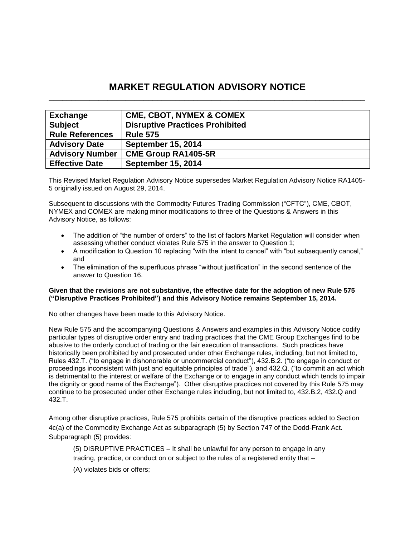# **MARKET REGULATION ADVISORY NOTICE \_\_\_\_\_\_\_\_\_\_\_\_\_\_\_\_\_\_\_\_\_\_\_\_\_\_\_\_\_\_\_\_\_\_\_\_\_\_\_\_\_\_\_\_\_\_\_\_\_\_\_\_\_\_\_\_\_\_\_\_\_\_\_\_\_\_\_\_\_\_**

| <b>Exchange</b>        | <b>CME, CBOT, NYMEX &amp; COMEX</b>    |
|------------------------|----------------------------------------|
| <b>Subject</b>         | <b>Disruptive Practices Prohibited</b> |
| <b>Rule References</b> | <b>Rule 575</b>                        |
| <b>Advisory Date</b>   | <b>September 15, 2014</b>              |
| <b>Advisory Number</b> | <b>CME Group RA1405-5R</b>             |
| <b>Effective Date</b>  | <b>September 15, 2014</b>              |

This Revised Market Regulation Advisory Notice supersedes Market Regulation Advisory Notice RA1405- 5 originally issued on August 29, 2014.

Subsequent to discussions with the Commodity Futures Trading Commission ("CFTC"), CME, CBOT, NYMEX and COMEX are making minor modifications to three of the Questions & Answers in this Advisory Notice, as follows:

- The addition of "the number of orders" to the list of factors Market Regulation will consider when assessing whether conduct violates Rule 575 in the answer to Question 1;
- A modification to Question 10 replacing "with the intent to cancel" with "but subsequently cancel," and
- The elimination of the superfluous phrase "without justification" in the second sentence of the answer to Question 16.

#### **Given that the revisions are not substantive, the effective date for the adoption of new Rule 575 ("Disruptive Practices Prohibited") and this Advisory Notice remains September 15, 2014.**

No other changes have been made to this Advisory Notice.

New Rule 575 and the accompanying Questions & Answers and examples in this Advisory Notice codify particular types of disruptive order entry and trading practices that the CME Group Exchanges find to be abusive to the orderly conduct of trading or the fair execution of transactions. Such practices have historically been prohibited by and prosecuted under other Exchange rules, including, but not limited to, Rules 432.T. ("to engage in dishonorable or uncommercial conduct"), 432.B.2. ("to engage in conduct or proceedings inconsistent with just and equitable principles of trade"), and 432.Q. ("to commit an act which is detrimental to the interest or welfare of the Exchange or to engage in any conduct which tends to impair the dignity or good name of the Exchange"). Other disruptive practices not covered by this Rule 575 may continue to be prosecuted under other Exchange rules including, but not limited to, 432.B.2, 432.Q and 432.T.

Among other disruptive practices, Rule 575 prohibits certain of the disruptive practices added to Section 4c(a) of the Commodity Exchange Act as subparagraph (5) by Section 747 of the Dodd-Frank Act. Subparagraph (5) provides:

(5) DISRUPTIVE PRACTICES – It shall be unlawful for any person to engage in any trading, practice, or conduct on or subject to the rules of a registered entity that –

(A) violates bids or offers;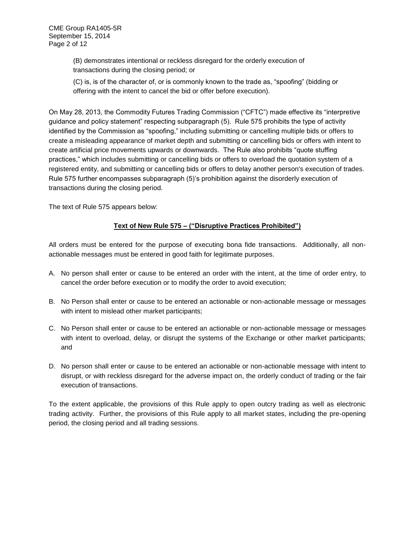(B) demonstrates intentional or reckless disregard for the orderly execution of transactions during the closing period; or

(C) is, is of the character of, or is commonly known to the trade as, "spoofing" (bidding or offering with the intent to cancel the bid or offer before execution).

On May 28, 2013, the Commodity Futures Trading Commission ("CFTC") made effective its "interpretive guidance and policy statement" respecting subparagraph (5). Rule 575 prohibits the type of activity identified by the Commission as "spoofing," including submitting or cancelling multiple bids or offers to create a misleading appearance of market depth and [submitting or cancelling bids or offers with intent to](http://www.futuresindustry.org/downloads/dtp_factsheet.pdf)  [create artificial price movements upwards or downwards.](http://www.futuresindustry.org/downloads/dtp_factsheet.pdf) The Rule also prohibits "quote stuffing practices," which includes submitting or cancelling bids or offers to overload the quotation system of a registered entity, and submitting or cancelling bids or offers to delay another person's execution of trades. Rule 575 further encompasses subparagraph (5)'s prohibition against the disorderly execution of transactions during the closing period.

The text of Rule 575 appears below:

## **Text of New Rule 575 – ("Disruptive Practices Prohibited")**

All orders must be entered for the purpose of executing bona fide transactions. Additionally, all nonactionable messages must be entered in good faith for legitimate purposes.

- A. No person shall enter or cause to be entered an order with the intent, at the time of order entry, to cancel the order before execution or to modify the order to avoid execution;
- B. No Person shall enter or cause to be entered an actionable or non-actionable message or messages with intent to mislead other market participants;
- C. No Person shall enter or cause to be entered an actionable or non-actionable message or messages with intent to overload, delay, or disrupt the systems of the Exchange or other market participants; and
- D. No person shall enter or cause to be entered an actionable or non-actionable message with intent to disrupt, or with reckless disregard for the adverse impact on, the orderly conduct of trading or the fair execution of transactions.

To the extent applicable, the provisions of this Rule apply to open outcry trading as well as electronic trading activity. Further, the provisions of this Rule apply to all market states, including the pre-opening period, the closing period and all trading sessions.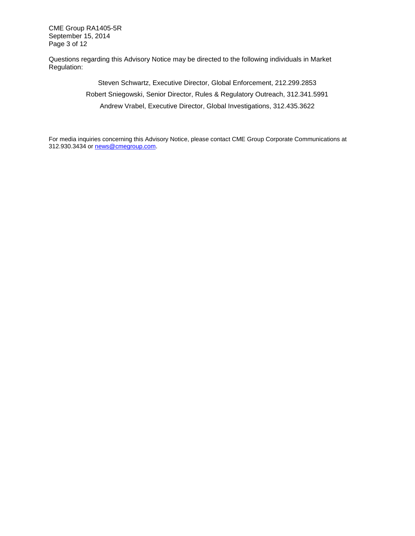CME Group RA1405-5R September 15, 2014 Page 3 of 12

Questions regarding this Advisory Notice may be directed to the following individuals in Market Regulation:

> Steven Schwartz, Executive Director, Global Enforcement, 212.299.2853 Robert Sniegowski, Senior Director, Rules & Regulatory Outreach, 312.341.5991 Andrew Vrabel, Executive Director, Global Investigations, 312.435.3622

For media inquiries concerning this Advisory Notice, please contact CME Group Corporate Communications at 312.930.3434 or [news@cmegroup.com.](mailto:news@cmegroup.com)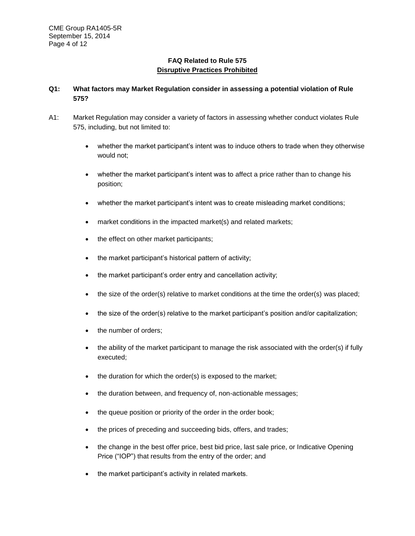# **FAQ Related to Rule 575 Disruptive Practices Prohibited**

# **Q1: What factors may Market Regulation consider in assessing a potential violation of Rule 575?**

- A1: Market Regulation may consider a variety of factors in assessing whether conduct violates Rule 575, including, but not limited to:
	- whether the market participant's intent was to induce others to trade when they otherwise would not;
	- whether the market participant's intent was to affect a price rather than to change his position;
	- whether the market participant's intent was to create misleading market conditions;
	- market conditions in the impacted market(s) and related markets;
	- the effect on other market participants;
	- the market participant's historical pattern of activity;
	- the market participant's order entry and cancellation activity;
	- $\bullet$  the size of the order(s) relative to market conditions at the time the order(s) was placed;
	- the size of the order(s) relative to the market participant's position and/or capitalization;
	- the number of orders;
	- the ability of the market participant to manage the risk associated with the order(s) if fully executed;
	- the duration for which the order(s) is exposed to the market;
	- the duration between, and frequency of, non-actionable messages;
	- the queue position or priority of the order in the order book;
	- the prices of preceding and succeeding bids, offers, and trades;
	- the change in the best offer price, best bid price, last sale price, or Indicative Opening Price ("IOP") that results from the entry of the order; and
	- the market participant's activity in related markets.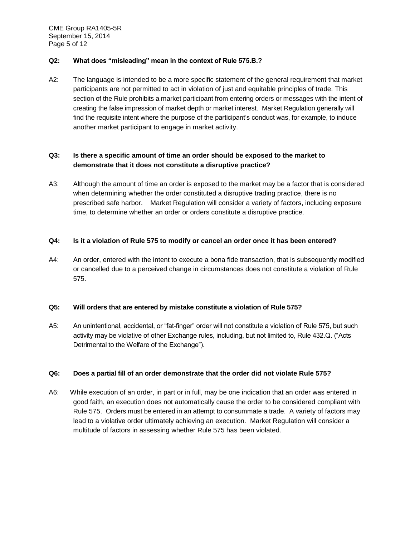CME Group RA1405-5R September 15, 2014 Page 5 of 12

#### **Q2: What does "misleading" mean in the context of Rule 575.B.?**

A2: The language is intended to be a more specific statement of the general requirement that market participants are not permitted to act in violation of just and equitable principles of trade. This section of the Rule prohibits a market participant from entering orders or messages with the intent of creating the false impression of market depth or market interest. Market Regulation generally will find the requisite intent where the purpose of the participant's conduct was, for example, to induce another market participant to engage in market activity.

## **Q3: Is there a specific amount of time an order should be exposed to the market to demonstrate that it does not constitute a disruptive practice?**

A3: Although the amount of time an order is exposed to the market may be a factor that is considered when determining whether the order constituted a disruptive trading practice, there is no prescribed safe harbor. Market Regulation will consider a variety of factors, including exposure time, to determine whether an order or orders constitute a disruptive practice.

#### **Q4: Is it a violation of Rule 575 to modify or cancel an order once it has been entered?**

A4: An order, entered with the intent to execute a bona fide transaction, that is subsequently modified or cancelled due to a perceived change in circumstances does not constitute a violation of Rule 575.

### **Q5: Will orders that are entered by mistake constitute a violation of Rule 575?**

A5: An unintentional, accidental, or "fat-finger" order will not constitute a violation of Rule 575, but such activity may be violative of other Exchange rules, including, but not limited to, Rule 432.Q. ("Acts Detrimental to the Welfare of the Exchange").

### **Q6: Does a partial fill of an order demonstrate that the order did not violate Rule 575?**

A6: While execution of an order, in part or in full, may be one indication that an order was entered in good faith, an execution does not automatically cause the order to be considered compliant with Rule 575. Orders must be entered in an attempt to consummate a trade. A variety of factors may lead to a violative order ultimately achieving an execution. Market Regulation will consider a multitude of factors in assessing whether Rule 575 has been violated.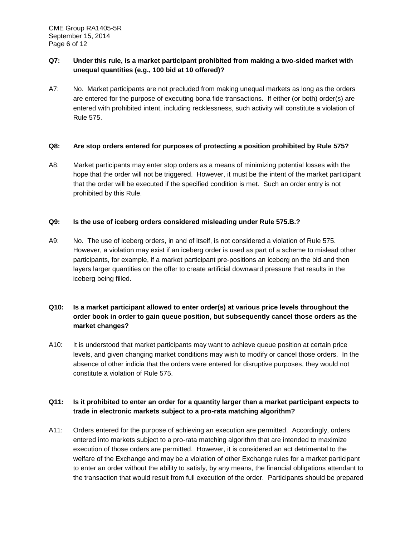# **Q7: Under this rule, is a market participant prohibited from making a two-sided market with unequal quantities (e.g., 100 bid at 10 offered)?**

A7: No. Market participants are not precluded from making unequal markets as long as the orders are entered for the purpose of executing bona fide transactions. If either (or both) order(s) are entered with prohibited intent, including recklessness, such activity will constitute a violation of Rule 575.

#### **Q8: Are stop orders entered for purposes of protecting a position prohibited by Rule 575?**

A8: Market participants may enter stop orders as a means of minimizing potential losses with the hope that the order will not be triggered. However, it must be the intent of the market participant that the order will be executed if the specified condition is met. Such an order entry is not prohibited by this Rule.

#### **Q9: Is the use of iceberg orders considered misleading under Rule 575.B.?**

A9: No. The use of iceberg orders, in and of itself, is not considered a violation of Rule 575. However, a violation may exist if an iceberg order is used as part of a scheme to mislead other participants, for example, if a market participant pre-positions an iceberg on the bid and then layers larger quantities on the offer to create artificial downward pressure that results in the iceberg being filled.

# **Q10: Is a market participant allowed to enter order(s) at various price levels throughout the order book in order to gain queue position, but subsequently cancel those orders as the market changes?**

A10: It is understood that market participants may want to achieve queue position at certain price levels, and given changing market conditions may wish to modify or cancel those orders. In the absence of other indicia that the orders were entered for disruptive purposes, they would not constitute a violation of Rule 575.

## **Q11: Is it prohibited to enter an order for a quantity larger than a market participant expects to trade in electronic markets subject to a pro-rata matching algorithm?**

A11: Orders entered for the purpose of achieving an execution are permitted. Accordingly, orders entered into markets subject to a pro-rata matching algorithm that are intended to maximize execution of those orders are permitted. However, it is considered an act detrimental to the welfare of the Exchange and may be a violation of other Exchange rules for a market participant to enter an order without the ability to satisfy, by any means, the financial obligations attendant to the transaction that would result from full execution of the order. Participants should be prepared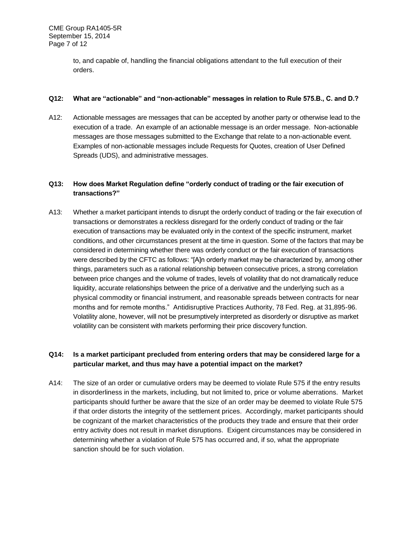to, and capable of, handling the financial obligations attendant to the full execution of their orders.

#### **Q12: What are "actionable" and "non-actionable" messages in relation to Rule 575.B., C. and D.?**

A12: Actionable messages are messages that can be accepted by another party or otherwise lead to the execution of a trade. An example of an actionable message is an order message. Non-actionable messages are those messages submitted to the Exchange that relate to a non-actionable event. Examples of non-actionable messages include Requests for Quotes, creation of User Defined Spreads (UDS), and administrative messages.

# **Q13: How does Market Regulation define "orderly conduct of trading or the fair execution of transactions?"**

A13: Whether a market participant intends to disrupt the orderly conduct of trading or the fair execution of transactions or demonstrates a reckless disregard for the orderly conduct of trading or the fair execution of transactions may be evaluated only in the context of the specific instrument, market conditions, and other circumstances present at the time in question. Some of the factors that may be considered in determining whether there was orderly conduct or the fair execution of transactions were described by the CFTC as follows: "[A]n orderly market may be characterized by, among other things, parameters such as a rational relationship between consecutive prices, a strong correlation between price changes and the volume of trades, levels of volatility that do not dramatically reduce liquidity, accurate relationships between the price of a derivative and the underlying such as a physical commodity or financial instrument, and reasonable spreads between contracts for near months and for remote months." Antidisruptive Practices Authority, 78 Fed. Reg. at 31,895-96. Volatility alone, however, will not be presumptively interpreted as disorderly or disruptive as market volatility can be consistent with markets performing their price discovery function.

# **Q14: Is a market participant precluded from entering orders that may be considered large for a particular market, and thus may have a potential impact on the market?**

A14: The size of an order or cumulative orders may be deemed to violate Rule 575 if the entry results in disorderliness in the markets, including, but not limited to, price or volume aberrations. Market participants should further be aware that the size of an order may be deemed to violate Rule 575 if that order distorts the integrity of the settlement prices. Accordingly, market participants should be cognizant of the market characteristics of the products they trade and ensure that their order entry activity does not result in market disruptions. Exigent circumstances may be considered in determining whether a violation of Rule 575 has occurred and, if so, what the appropriate sanction should be for such violation.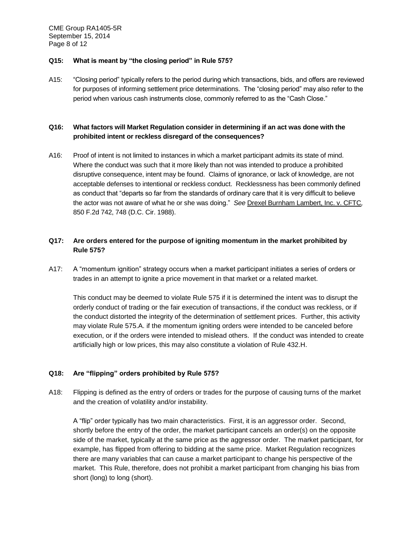CME Group RA1405-5R September 15, 2014 Page 8 of 12

#### **Q15: What is meant by "the closing period" in Rule 575?**

A15: "Closing period" typically refers to the period during which transactions, bids, and offers are reviewed for purposes of informing settlement price determinations. The "closing period" may also refer to the period when various cash instruments close, commonly referred to as the "Cash Close."

# **Q16: What factors will Market Regulation consider in determining if an act was done with the prohibited intent or reckless disregard of the consequences?**

A16: Proof of intent is not limited to instances in which a market participant admits its state of mind. Where the conduct was such that it more likely than not was intended to produce a prohibited disruptive consequence, intent may be found. Claims of ignorance, or lack of knowledge, are not acceptable defenses to intentional or reckless conduct. Recklessness has been commonly defined as conduct that "departs so far from the standards of ordinary care that it is very difficult to believe the actor was not aware of what he or she was doing." *See* Drexel Burnham Lambert, Inc. v. CFTC*,*  850 F.2d 742, 748 (D.C. Cir. 1988).

# **Q17: Are orders entered for the purpose of igniting momentum in the market prohibited by Rule 575?**

A17: A "momentum ignition" strategy occurs when a market participant initiates a series of orders or trades in an attempt to ignite a price movement in that market or a related market.

This conduct may be deemed to violate Rule 575 if it is determined the intent was to disrupt the orderly conduct of trading or the fair execution of transactions, if the conduct was reckless, or if the conduct distorted the integrity of the determination of settlement prices. Further, this activity may violate Rule 575.A. if the momentum igniting orders were intended to be canceled before execution, or if the orders were intended to mislead others. If the conduct was intended to create artificially high or low prices, this may also constitute a violation of Rule 432.H.

### **Q18: Are "flipping" orders prohibited by Rule 575?**

A18: Flipping is defined as the entry of orders or trades for the purpose of causing turns of the market and the creation of volatility and/or instability.

A "flip" order typically has two main characteristics. First, it is an aggressor order. Second, shortly before the entry of the order, the market participant cancels an order(s) on the opposite side of the market, typically at the same price as the aggressor order. The market participant, for example, has flipped from offering to bidding at the same price. Market Regulation recognizes there are many variables that can cause a market participant to change his perspective of the market. This Rule, therefore, does not prohibit a market participant from changing his bias from short (long) to long (short).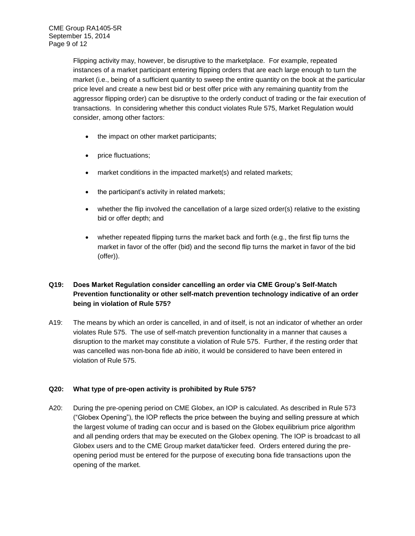Flipping activity may, however, be disruptive to the marketplace. For example, repeated instances of a market participant entering flipping orders that are each large enough to turn the market (i.e., being of a sufficient quantity to sweep the entire quantity on the book at the particular price level and create a new best bid or best offer price with any remaining quantity from the aggressor flipping order) can be disruptive to the orderly conduct of trading or the fair execution of transactions. In considering whether this conduct violates Rule 575, Market Regulation would consider, among other factors:

- the impact on other market participants;
- price fluctuations;
- market conditions in the impacted market(s) and related markets;
- the participant's activity in related markets;
- whether the flip involved the cancellation of a large sized order(s) relative to the existing bid or offer depth; and
- whether repeated flipping turns the market back and forth (e.g., the first flip turns the market in favor of the offer (bid) and the second flip turns the market in favor of the bid (offer)).

# **Q19: Does Market Regulation consider cancelling an order via CME Group's Self-Match Prevention functionality or other self-match prevention technology indicative of an order being in violation of Rule 575?**

A19: The means by which an order is cancelled, in and of itself, is not an indicator of whether an order violates Rule 575. The use of self-match prevention functionality in a manner that causes a disruption to the market may constitute a violation of Rule 575. Further, if the resting order that was cancelled was non-bona fide *ab initio*, it would be considered to have been entered in violation of Rule 575.

### **Q20: What type of pre-open activity is prohibited by Rule 575?**

A20: During the pre-opening period on CME Globex, an IOP is calculated. As described in Rule 573 ("Globex Opening"), the IOP reflects the price between the buying and selling pressure at which the largest volume of trading can occur and is based on the Globex equilibrium price algorithm and all pending orders that may be executed on the Globex opening. The IOP is broadcast to all Globex users and to the CME Group market data/ticker feed. Orders entered during the preopening period must be entered for the purpose of executing bona fide transactions upon the opening of the market.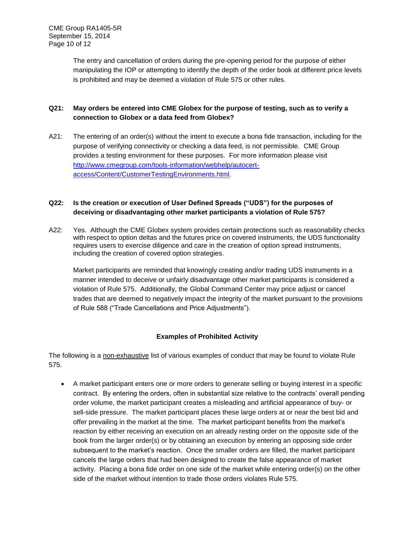The entry and cancellation of orders during the pre-opening period for the purpose of either manipulating the IOP or attempting to identify the depth of the order book at different price levels is prohibited and may be deemed a violation of Rule 575 or other rules.

# **Q21: May orders be entered into CME Globex for the purpose of testing, such as to verify a connection to Globex or a data feed from Globex?**

A21: The entering of an order(s) without the intent to execute a bona fide transaction, including for the purpose of verifying connectivity or checking a data feed, is not permissible. CME Group provides a testing environment for these purposes. For more information please visit [http://www.cmegroup.com/tools-information/webhelp/autocert](http://www.cmegroup.com/tools-information/webhelp/autocert-access/Content/CustomerTestingEnvironments.html)[access/Content/CustomerTestingEnvironments.html.](http://www.cmegroup.com/tools-information/webhelp/autocert-access/Content/CustomerTestingEnvironments.html)

# **Q22: Is the creation or execution of User Defined Spreads ("UDS") for the purposes of deceiving or disadvantaging other market participants a violation of Rule 575?**

A22: Yes. Although the CME Globex system provides certain protections such as reasonability checks with respect to option deltas and the futures price on covered instruments, the UDS functionality requires users to exercise diligence and care in the creation of option spread instruments, including the creation of covered option strategies.

Market participants are reminded that knowingly creating and/or trading UDS instruments in a manner intended to deceive or unfairly disadvantage other market participants is considered a violation of Rule 575. Additionally, the Global Command Center may price adjust or cancel trades that are deemed to negatively impact the integrity of the market pursuant to the provisions of Rule 588 ("Trade Cancellations and Price Adjustments").

# **Examples of Prohibited Activity**

The following is a non-exhaustive list of various examples of conduct that may be found to violate Rule 575.

 A market participant enters one or more orders to generate selling or buying interest in a specific contract. By entering the orders, often in substantial size relative to the contracts' overall pending order volume, the market participant creates a misleading and artificial appearance of buy- or sell-side pressure. The market participant places these large orders at or near the best bid and offer prevailing in the market at the time. The market participant benefits from the market's reaction by either receiving an execution on an already resting order on the opposite side of the book from the larger order(s) or by obtaining an execution by entering an opposing side order subsequent to the market's reaction. Once the smaller orders are filled, the market participant cancels the large orders that had been designed to create the false appearance of market activity. Placing a bona fide order on one side of the market while entering order(s) on the other side of the market without intention to trade those orders violates Rule 575.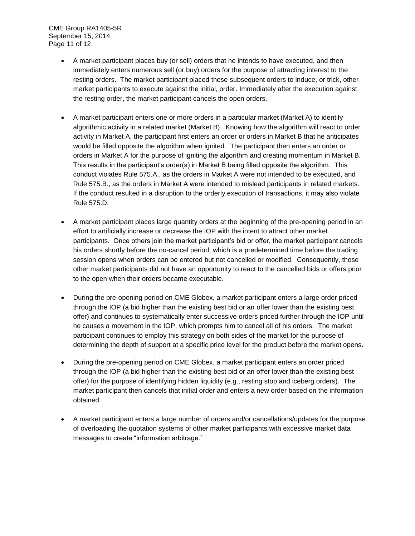CME Group RA1405-5R September 15, 2014 Page 11 of 12

- A market participant places buy (or sell) orders that he intends to have executed, and then immediately enters numerous sell (or buy) orders for the purpose of attracting interest to the resting orders. The market participant placed these subsequent orders to induce, or trick, other market participants to execute against the initial, order. Immediately after the execution against the resting order, the market participant cancels the open orders.
- A market participant enters one or more orders in a particular market (Market A) to identify algorithmic activity in a related market (Market B). Knowing how the algorithm will react to order activity in Market A, the participant first enters an order or orders in Market B that he anticipates would be filled opposite the algorithm when ignited. The participant then enters an order or orders in Market A for the purpose of igniting the algorithm and creating momentum in Market B. This results in the participant's order(s) in Market B being filled opposite the algorithm. This conduct violates Rule 575.A., as the orders in Market A were not intended to be executed, and Rule 575.B., as the orders in Market A were intended to mislead participants in related markets. If the conduct resulted in a disruption to the orderly execution of transactions, it may also violate Rule 575.D.
- A market participant places large quantity orders at the beginning of the pre-opening period in an effort to artificially increase or decrease the IOP with the intent to attract other market participants. Once others join the market participant's bid or offer, the market participant cancels his orders shortly before the no-cancel period, which is a predetermined time before the trading session opens when orders can be entered but not cancelled or modified. Consequently, those other market participants did not have an opportunity to react to the cancelled bids or offers prior to the open when their orders became executable.
- During the pre-opening period on CME Globex, a market participant enters a large order priced through the IOP (a bid higher than the existing best bid or an offer lower than the existing best offer) and continues to systematically enter successive orders priced further through the IOP until he causes a movement in the IOP, which prompts him to cancel all of his orders. The market participant continues to employ this strategy on both sides of the market for the purpose of determining the depth of support at a specific price level for the product before the market opens.
- During the pre-opening period on CME Globex, a market participant enters an order priced through the IOP (a bid higher than the existing best bid or an offer lower than the existing best offer) for the purpose of identifying hidden liquidity (e.g., resting stop and iceberg orders). The market participant then cancels that initial order and enters a new order based on the information obtained.
- A market participant enters a large number of orders and/or cancellations/updates for the purpose of overloading the quotation systems of other market participants with excessive market data messages to create "information arbitrage."